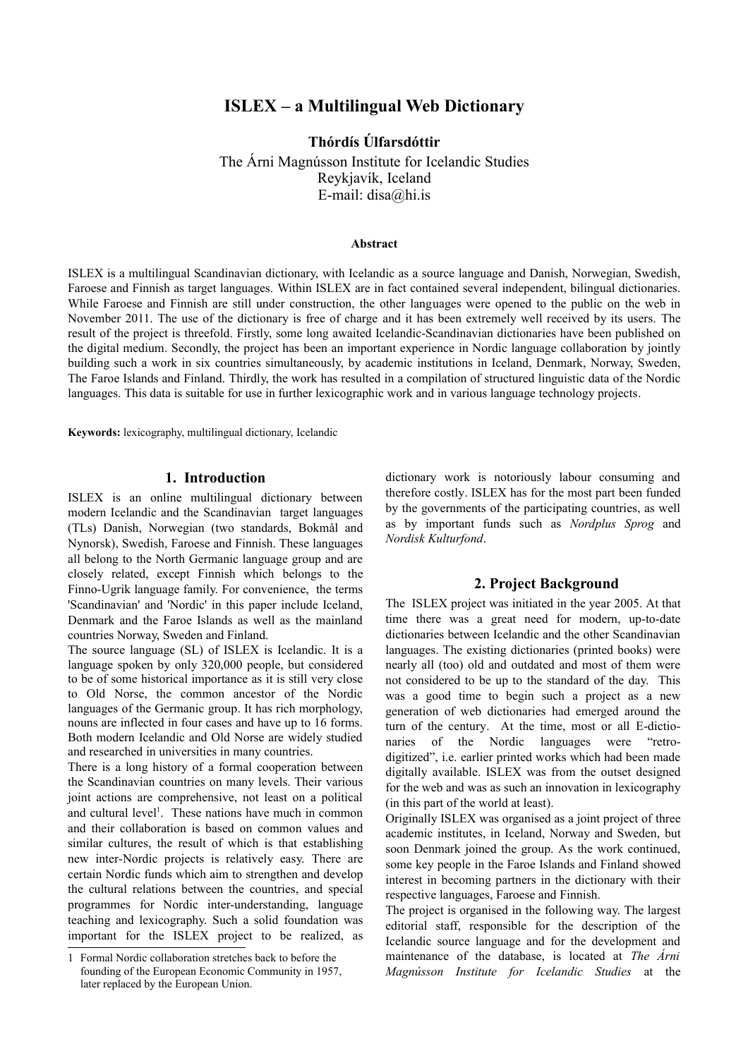# **ISLEX – a Multilingual Web Dictionary**

**Thórdís Úlfarsdóttir**

The Árni Magnússon Institute for Icelandic Studies Reykjavík, Iceland E-mail: disa@hi.is

#### **Abstract**

ISLEX is a multilingual Scandinavian dictionary, with Icelandic as a source language and Danish, Norwegian, Swedish, Faroese and Finnish as target languages. Within ISLEX are in fact contained several independent, bilingual dictionaries. While Faroese and Finnish are still under construction, the other languages were opened to the public on the web in November 2011. The use of the dictionary is free of charge and it has been extremely well received by its users. The result of the project is threefold. Firstly, some long awaited Icelandic-Scandinavian dictionaries have been published on the digital medium. Secondly, the project has been an important experience in Nordic language collaboration by jointly building such a work in six countries simultaneously, by academic institutions in Iceland, Denmark, Norway, Sweden, The Faroe Islands and Finland. Thirdly, the work has resulted in a compilation of structured linguistic data of the Nordic languages. This data is suitable for use in further lexicographic work and in various language technology projects.

**Keywords:** lexicography, multilingual dictionary, Icelandic

#### **1. Introduction**

ISLEX is an online multilingual dictionary between modern Icelandic and the Scandinavian target languages (TLs) Danish, Norwegian (two standards, Bokmål and Nynorsk), Swedish, Faroese and Finnish. These languages all belong to the North Germanic language group and are closely related, except Finnish which belongs to the Finno-Ugrik language family. For convenience, the terms 'Scandinavian' and 'Nordic' in this paper include Iceland, Denmark and the Faroe Islands as well as the mainland countries Norway, Sweden and Finland.

The source language (SL) of ISLEX is Icelandic. It is a language spoken by only 320,000 people, but considered to be of some historical importance as it is still very close to Old Norse, the common ancestor of the Nordic languages of the Germanic group. It has rich morphology, nouns are inflected in four cases and have up to 16 forms. Both modern Icelandic and Old Norse are widely studied and researched in universities in many countries.

There is a long history of a formal cooperation between the Scandinavian countries on many levels. Their various joint actions are comprehensive, not least on a political and cultural level<sup>[1](#page-0-0)</sup>. These nations have much in common and their collaboration is based on common values and similar cultures, the result of which is that establishing new inter-Nordic projects is relatively easy. There are certain Nordic funds which aim to strengthen and develop the cultural relations between the countries, and special programmes for Nordic inter-understanding, language teaching and lexicography. Such a solid foundation was important for the ISLEX project to be realized, as dictionary work is notoriously labour consuming and therefore costly. ISLEX has for the most part been funded by the governments of the participating countries, as well as by important funds such as *Nordplus Sprog* and *Nordisk Kulturfond*.

# **2. Project Background**

The ISLEX project was initiated in the year 2005. At that time there was a great need for modern, up-to-date dictionaries between Icelandic and the other Scandinavian languages. The existing dictionaries (printed books) were nearly all (too) old and outdated and most of them were not considered to be up to the standard of the day. This was a good time to begin such a project as a new generation of web dictionaries had emerged around the turn of the century. At the time, most or all E-dictionaries of the Nordic languages were "retrodigitized", i.e. earlier printed works which had been made digitally available. ISLEX was from the outset designed for the web and was as such an innovation in lexicography (in this part of the world at least).

Originally ISLEX was organised as a joint project of three academic institutes, in Iceland, Norway and Sweden, but soon Denmark joined the group. As the work continued, some key people in the Faroe Islands and Finland showed interest in becoming partners in the dictionary with their respective languages, Faroese and Finnish.

The project is organised in the following way. The largest editorial staff, responsible for the description of the Icelandic source language and for the development and maintenance of the database, is located at *The Árni Magnússon Institute for Icelandic Studies* at the

<span id="page-0-0"></span><sup>1</sup> Formal Nordic collaboration stretches back to before the founding of the European Economic Community in 1957, later replaced by the European Union.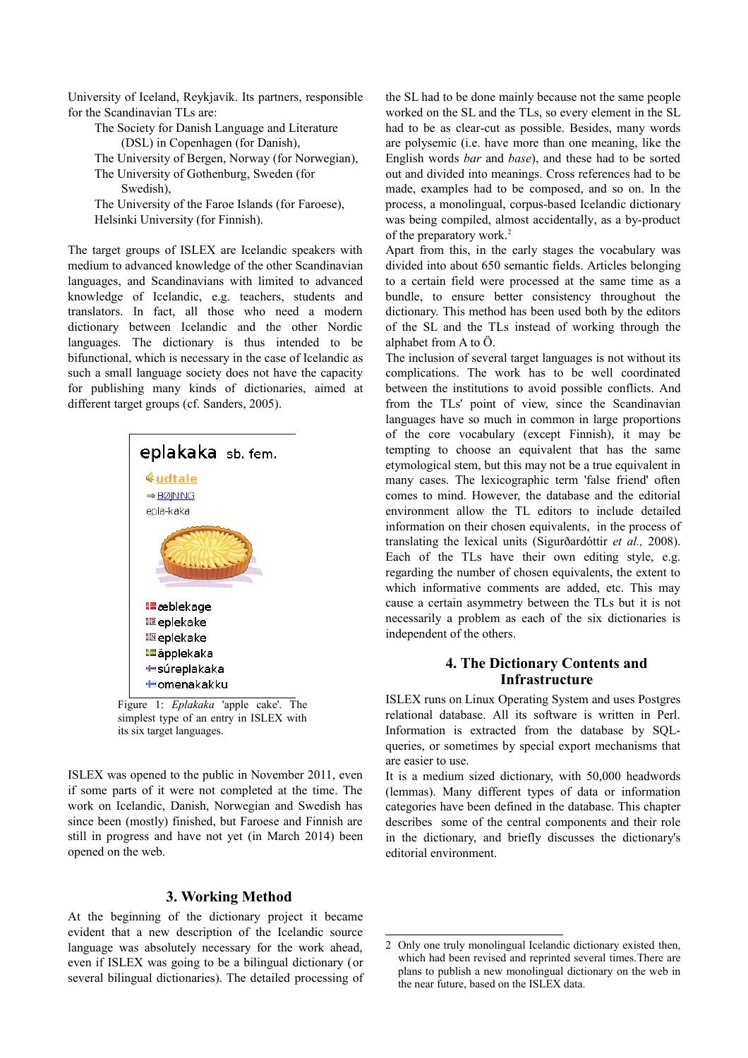University of Iceland, Reykjavík. Its partners, responsible for the Scandinavian TLs are:

The Society for Danish Language and Literature (DSL) in Copenhagen (for Danish), The University of Bergen, Norway (for Norwegian), The University of Gothenburg, Sweden (for Swedish), The University of the Faroe Islands (for Faroese), Helsinki University (for Finnish).

The target groups of ISLEX are Icelandic speakers with medium to advanced knowledge of the other Scandinavian languages, and Scandinavians with limited to advanced knowledge of Icelandic, e.g. teachers, students and translators. In fact, all those who need a modern dictionary between Icelandic and the other Nordic languages. The dictionary is thus intended to be bifunctional, which is necessary in the case of Icelandic as such a small language society does not have the capacity for publishing many kinds of dictionaries, aimed at different target groups (cf. Sanders, 2005).



simplest type of an entry in ISLEX with its six target languages.

ISLEX was opened to the public in November 2011, even if some parts of it were not completed at the time. The work on Icelandic, Danish, Norwegian and Swedish has since been (mostly) finished, but Faroese and Finnish are still in progress and have not yet (in March 2014) been opened on the web.

#### **3. Working Method**

At the beginning of the dictionary project it became evident that a new description of the Icelandic source language was absolutely necessary for the work ahead, even if ISLEX was going to be a bilingual dictionary (or several bilingual dictionaries). The detailed processing of

the SL had to be done mainly because not the same people worked on the SL and the TLs, so every element in the SL had to be as clear-cut as possible. Besides, many words are polysemic (i.e. have more than one meaning, like the English words *bar* and *base*), and these had to be sorted out and divided into meanings. Cross references had to be made, examples had to be composed, and so on. In the process, a monolingual, corpus-based Icelandic dictionary was being compiled, almost accidentally, as a by-product of the preparatory work.<sup>[2](#page-1-0)</sup>

Apart from this, in the early stages the vocabulary was divided into about 650 semantic fields. Articles belonging to a certain field were processed at the same time as a bundle, to ensure better consistency throughout the dictionary. This method has been used both by the editors of the SL and the TLs instead of working through the alphabet from A to Ö.

The inclusion of several target languages is not without its complications. The work has to be well coordinated between the institutions to avoid possible conflicts. And from the TLs' point of view, since the Scandinavian languages have so much in common in large proportions of the core vocabulary (except Finnish), it may be tempting to choose an equivalent that has the same etymological stem, but this may not be a true equivalent in many cases. The lexicographic term 'false friend' often comes to mind. However, the database and the editorial environment allow the TL editors to include detailed information on their chosen equivalents, in the process of translating the lexical units (Sigurðardóttir *et al.,* 2008). Each of the TLs have their own editing style, e.g. regarding the number of chosen equivalents, the extent to which informative comments are added, etc. This may cause a certain asymmetry between the TLs but it is not necessarily a problem as each of the six dictionaries is independent of the others.

# **4. The Dictionary Contents and Infrastructure**

ISLEX runs on Linux Operating System and uses Postgres relational database. All its software is written in Perl. Information is extracted from the database by SQLqueries, or sometimes by special export mechanisms that are easier to use.

It is a medium sized dictionary, with 50,000 headwords (lemmas). Many different types of data or information categories have been defined in the database. This chapter describes some of the central components and their role in the dictionary, and briefly discusses the dictionary's editorial environment.

<span id="page-1-0"></span><sup>2</sup> Only one truly monolingual Icelandic dictionary existed then, which had been revised and reprinted several times.There are plans to publish a new monolingual dictionary on the web in the near future, based on the ISLEX data.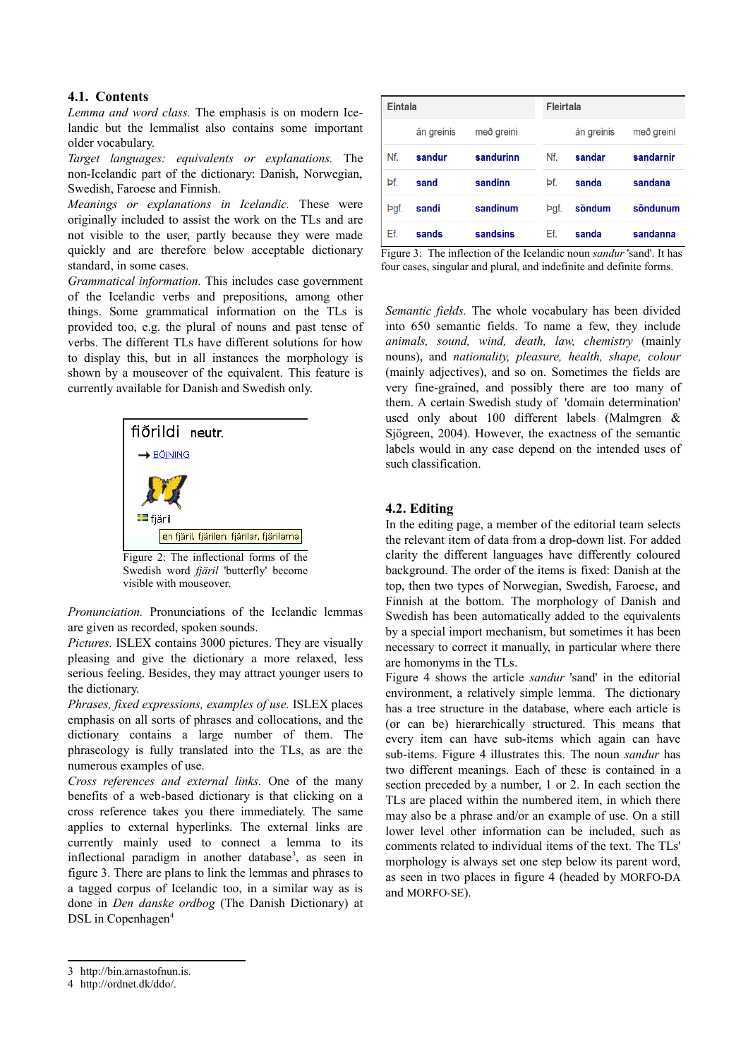#### **4.1. Contents**

*Lemma and word class.* The emphasis is on modern Icelandic but the lemmalist also contains some important older vocabulary.

*Target languages: equivalents or explanations.* The non-Icelandic part of the dictionary: Danish, Norwegian, Swedish, Faroese and Finnish.

*Meanings or explanations in Icelandic.* These were originally included to assist the work on the TLs and are not visible to the user, partly because they were made quickly and are therefore below acceptable dictionary standard, in some cases.

*Grammatical information.* This includes case government of the Icelandic verbs and prepositions, among other things. Some grammatical information on the TLs is provided too, e.g. the plural of nouns and past tense of verbs. The different TLs have different solutions for how to display this, but in all instances the morphology is shown by a mouseover of the equivalent. This feature is currently available for Danish and Swedish only.



Figure 2: The inflectional forms of the Swedish word *fjäril* 'butterfly' become visible with mouseover.

*Pronunciation.* Pronunciations of the Icelandic lemmas are given as recorded, spoken sounds.

*Pictures.* ISLEX contains 3000 pictures. They are visually pleasing and give the dictionary a more relaxed, less serious feeling. Besides, they may attract younger users to the dictionary.

*Phrases, fixed expressions, examples of use.* ISLEX places emphasis on all sorts of phrases and collocations, and the dictionary contains a large number of them. The phraseology is fully translated into the TLs, as are the numerous examples of use.

*Cross references and external links.* One of the many benefits of a web-based dictionary is that clicking on a cross reference takes you there immediately. The same applies to external hyperlinks. The external links are currently mainly used to connect a lemma to its inflectional paradigm in another database<sup>[3](#page-2-0)</sup>, as seen in figure 3. There are plans to link the lemmas and phrases to a tagged corpus of Icelandic too, in a similar way as is done in *Den danske ordbog* (The Danish Dictionary) at DSL in Copenhagen<sup>[4](#page-2-1)</sup>

| Eintala |            |            | <b>Fleirtala</b> |            |            |
|---------|------------|------------|------------------|------------|------------|
|         | án greinis | með greini |                  | án greinis | með greini |
| Nf.     | sandur     | sandurinn  | Nf.              | sandar     | sandarnir  |
| Þf.     | sand       | sandinn    | Þf.              | sanda      | sandana    |
| Þgf.    | sandi      | sandinum   | Þgf.             | söndum     | söndunum   |
| Ef.     | sands      | sandsins   | Ef.              | sanda      | sandanna   |

Figure 3: The inflection of the Icelandic noun *sandur* 'sand'. It has four cases, singular and plural, and indefinite and definite forms.

*Semantic fields.* The whole vocabulary has been divided into 650 semantic fields. To name a few, they include *animals, sound, wind, death, law, chemistry* (mainly nouns), and *nationality, pleasure, health, shape, colour* (mainly adjectives), and so on. Sometimes the fields are very fine-grained, and possibly there are too many of them. A certain Swedish study of 'domain determination' used only about 100 different labels (Malmgren & Sjögreen, 2004). However, the exactness of the semantic labels would in any case depend on the intended uses of such classification.

# **4.2. Editing**

In the editing page, a member of the editorial team selects the relevant item of data from a drop-down list. For added clarity the different languages have differently coloured background. The order of the items is fixed: Danish at the top, then two types of Norwegian, Swedish, Faroese, and Finnish at the bottom. The morphology of Danish and Swedish has been automatically added to the equivalents by a special import mechanism, but sometimes it has been necessary to correct it manually, in particular where there are homonyms in the TLs.

Figure 4 shows the article *sandur* 'sand' in the editorial environment, a relatively simple lemma. The dictionary has a tree structure in the database, where each article is (or can be) hierarchically structured. This means that every item can have sub-items which again can have sub-items. Figure 4 illustrates this. The noun *sandur* has two different meanings. Each of these is contained in a section preceded by a number, 1 or 2. In each section the TLs are placed within the numbered item, in which there may also be a phrase and/or an example of use. On a still lower level other information can be included, such as comments related to individual items of the text. The TLs' morphology is always set one step below its parent word, as seen in two places in figure 4 (headed by MORFO-DA and MORFO-SE).

<span id="page-2-0"></span><sup>3</sup> http://bin.arnastofnun.is.

<span id="page-2-1"></span><sup>4</sup> http://ordnet.dk/ddo/.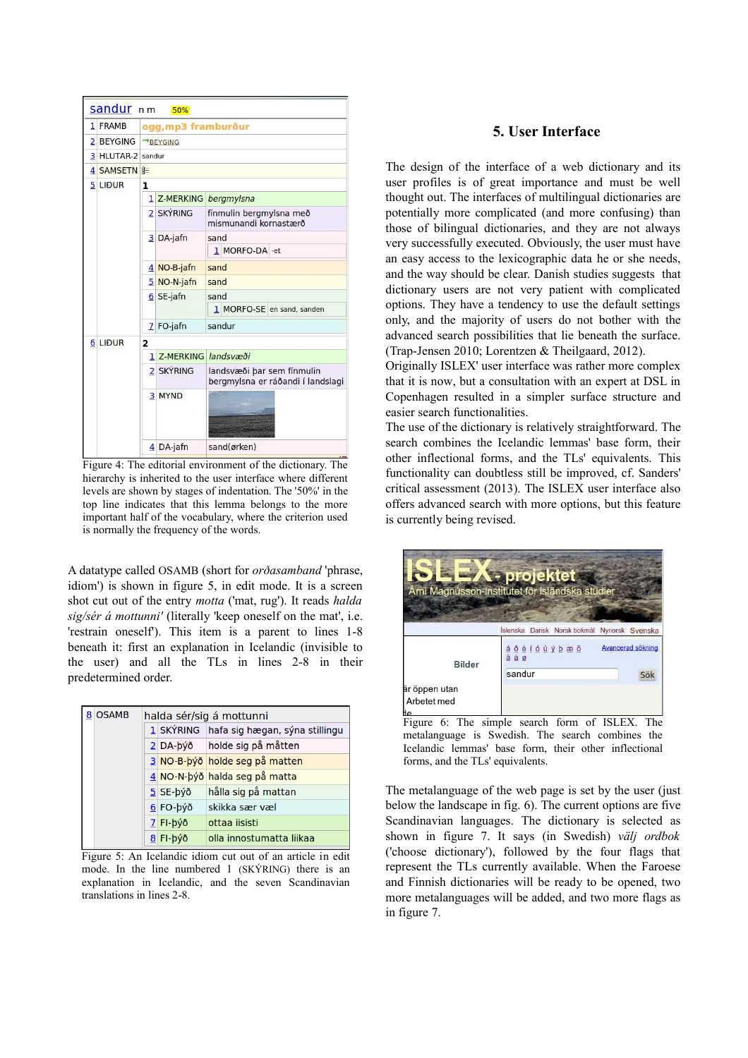

Figure 4: The editorial environment of the dictionary. The hierarchy is inherited to the user interface where different levels are shown by stages of indentation. The '50%' in the top line indicates that this lemma belongs to the more important half of the vocabulary, where the criterion used is normally the frequency of the words.

A datatype called OSAMB (short for *orðasamband* 'phrase, idiom') is shown in figure 5, in edit mode. It is a screen shot cut out of the entry *motta* ('mat, rug'). It reads *halda sig/sér á mottunni'* (literally 'keep oneself on the mat', i.e. 'restrain oneself'). This item is a parent to lines 1-8 beneath it: first an explanation in Icelandic (invisible to the user) and all the TLs in lines 2-8 in their predetermined order.

|  | 8 OSAMB | halda sér/sig á mottunni |            |                                          |  |
|--|---------|--------------------------|------------|------------------------------------------|--|
|  |         |                          |            | 1 SKÝRING hafa sig hægan, sýna stillingu |  |
|  |         |                          |            | $2$ DA-býð holde sig på måtten           |  |
|  |         |                          |            | 3 NO-B-þýð holde seg på matten           |  |
|  |         |                          |            | 4 NO-N-býð halda seg på matta            |  |
|  |         |                          | $5$ SE-býð | hålla sig på mattan                      |  |
|  |         |                          | $6$ FO-býð | skikka sær væl                           |  |
|  |         |                          | $7$ FI-býð | ottaa iisisti                            |  |
|  |         |                          | $8$ FI-býð | olla innostumatta liikaa                 |  |

Figure 5: An Icelandic idiom cut out of an article in edit mode. In the line numbered 1 (SKÝRING) there is an explanation in Icelandic, and the seven Scandinavian translations in lines 2-8.

# **5. User Interface**

The design of the interface of a web dictionary and its user profiles is of great importance and must be well thought out. The interfaces of multilingual dictionaries are potentially more complicated (and more confusing) than those of bilingual dictionaries, and they are not always very successfully executed. Obviously, the user must have an easy access to the lexicographic data he or she needs, and the way should be clear. Danish studies suggests that dictionary users are not very patient with complicated options. They have a tendency to use the default settings only, and the majority of users do not bother with the advanced search possibilities that lie beneath the surface. (Trap-Jensen 2010; Lorentzen & Theilgaard, 2012).

Originally ISLEX' user interface was rather more complex that it is now, but a consultation with an expert at DSL in Copenhagen resulted in a simpler surface structure and easier search functionalities.

The use of the dictionary is relatively straightforward. The search combines the Icelandic lemmas' base form, their other inflectional forms, and the TLs' equivalents. This functionality can doubtless still be improved, cf. Sanders' critical assessment (2013). The ISLEX user interface also offers advanced search with more options, but this feature is currently being revised.

|                                     | projektet<br>Árni Magnússon-institutet för isländska studier |                                 |
|-------------------------------------|--------------------------------------------------------------|---------------------------------|
|                                     | Íslenska Dansk Norsk bokmål Nynorsk Svenska                  |                                 |
| <b>Bilder</b>                       | <u>а́ бе́ јо́ ц у́ b æ ö</u><br>ä å ø<br>sandur              | <b>Avancerad sökning</b><br>Söl |
| är öppen utan<br><b>Arbetet med</b> |                                                              |                                 |

Figure 6: The simple search form of ISLEX. The metalanguage is Swedish. The search combines the Icelandic lemmas' base form, their other inflectional forms, and the TLs' equivalents.

The metalanguage of the web page is set by the user (just below the landscape in fig. 6). The current options are five Scandinavian languages. The dictionary is selected as shown in figure 7. It says (in Swedish) *välj ordbok* ('choose dictionary'), followed by the four flags that represent the TLs currently available. When the Faroese and Finnish dictionaries will be ready to be opened, two more metalanguages will be added, and two more flags as in figure 7.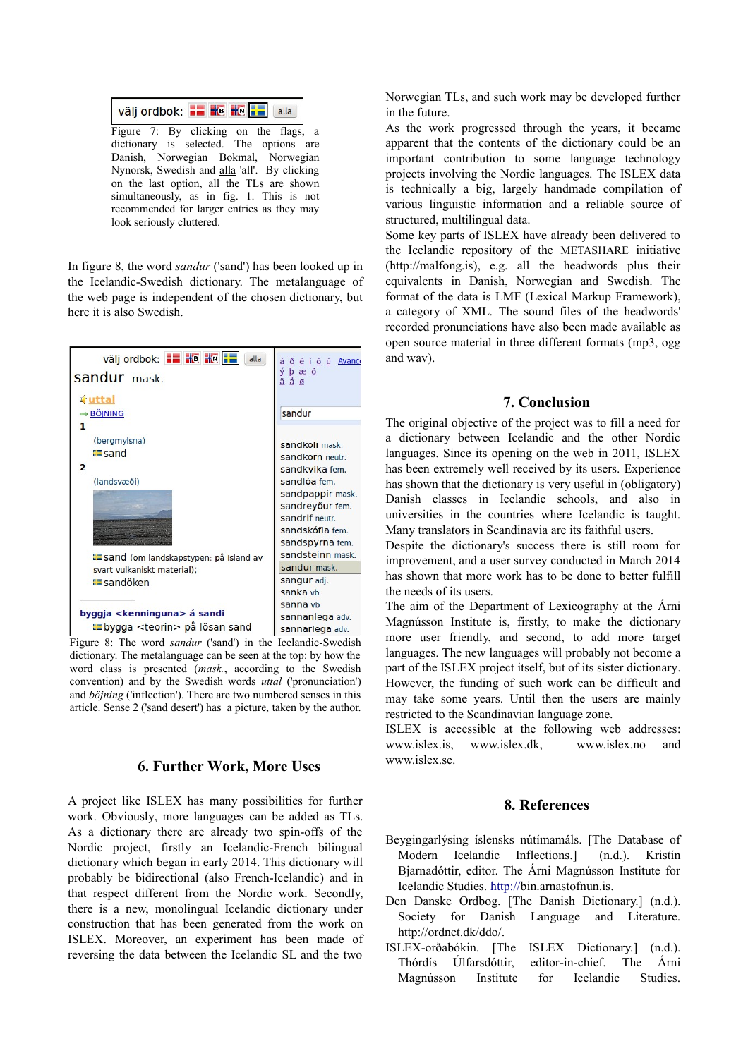| Välj ordbok: <b>: : : : : : : :</b>   alla |  |  |
|--------------------------------------------|--|--|
|                                            |  |  |

Figure 7: By clicking on the flags, a dictionary is selected. The options are Danish, Norwegian Bokmal, Norwegian Nynorsk, Swedish and alla 'all'. By clicking on the last option, all the TLs are shown simultaneously, as in fig. 1. This is not recommended for larger entries as they may look seriously cluttered.

In figure 8, the word *sandur* ('sand') has been looked up in the Icelandic-Swedish dictionary. The metalanguage of the web page is independent of the chosen dictionary, but here it is also Swedish.



Figure 8: The word *sandur* ('sand') in the Icelandic-Swedish dictionary. The metalanguage can be seen at the top: by how the word class is presented (*mask.*, according to the Swedish convention) and by the Swedish words *uttal* ('pronunciation') and *böjning* ('inflection'). There are two numbered senses in this article. Sense 2 ('sand desert') has a picture, taken by the author.

# **6. Further Work, More Uses**

A project like ISLEX has many possibilities for further work. Obviously, more languages can be added as TLs. As a dictionary there are already two spin-offs of the Nordic project, firstly an Icelandic-French bilingual dictionary which began in early 2014. This dictionary will probably be bidirectional (also French-Icelandic) and in that respect different from the Nordic work. Secondly, there is a new, monolingual Icelandic dictionary under construction that has been generated from the work on ISLEX. Moreover, an experiment has been made of reversing the data between the Icelandic SL and the two

Norwegian TLs, and such work may be developed further in the future.

As the work progressed through the years, it became apparent that the contents of the dictionary could be an important contribution to some language technology projects involving the Nordic languages. The ISLEX data is technically a big, largely handmade compilation of various linguistic information and a reliable source of structured, multilingual data.

Some key parts of ISLEX have already been delivered to the Icelandic repository of the METASHARE initiative (http://malfong.is), e.g. all the headwords plus their equivalents in Danish, Norwegian and Swedish. The format of the data is LMF (Lexical Markup Framework), a category of XML. The sound files of the headwords' recorded pronunciations have also been made available as open source material in three different formats (mp3, ogg and wav).

#### **7. Conclusion**

The original objective of the project was to fill a need for a dictionary between Icelandic and the other Nordic languages. Since its opening on the web in 2011, ISLEX has been extremely well received by its users. Experience has shown that the dictionary is very useful in (obligatory) Danish classes in Icelandic schools, and also in universities in the countries where Icelandic is taught. Many translators in Scandinavia are its faithful users.

Despite the dictionary's success there is still room for improvement, and a user survey conducted in March 2014 has shown that more work has to be done to better fulfill the needs of its users.

The aim of the Department of Lexicography at the Árni Magnússon Institute is, firstly, to make the dictionary more user friendly, and second, to add more target languages. The new languages will probably not become a part of the ISLEX project itself, but of its sister dictionary. However, the funding of such work can be difficult and may take some years. Until then the users are mainly restricted to the Scandinavian language zone.

ISLEX is accessible at the following web addresses: www.islex.is, [www.islex.dk,](http://www.islex.dk/) [www.islex.no](http://www.islex.no/) and www.islex.se.

### **8. References**

- Beygingarlýsing íslensks nútímamáls. [The Database of Modern Icelandic Inflections.] (n.d.). Kristín Bjarnadóttir, editor. The Árni Magnússon Institute for Icelandic Studies. http://bin.arnastofnun.is.
- Den Danske Ordbog. [The Danish Dictionary.] (n.d.). Society for Danish Language and Literature. http://ordnet.dk/ddo/.
- ISLEX-orðabókin. [The ISLEX Dictionary.] (n.d.). Thórdís Úlfarsdóttir, editor-in-chief. The Árni Magnússon Institute for Icelandic Studies.